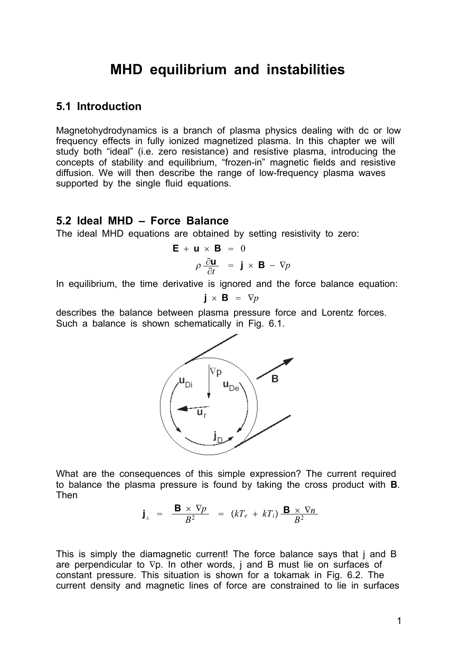# **MHD equilibrium and instabilities**

# **5.1 Introduction**

Magnetohydrodynamics is a branch of plasma physics dealing with dc or low frequency effects in fully ionized magnetized plasma. In this chapter we will study both "ideal" (i.e. zero resistance) and resistive plasma, introducing the concepts of stability and equilibrium, "frozen-in" magnetic fields and resistive diffusion. We will then describe the range of low-frequency plasma waves supported by the single fluid equations.

### **5.2 Ideal MHD – Force Balance**

The ideal MHD equations are obtained by setting resistivity to zero:

$$
\mathbf{E} + \mathbf{u} \times \mathbf{B} = 0
$$

$$
\rho \frac{\partial \mathbf{u}}{\partial t} = \mathbf{j} \times \mathbf{B} - \nabla p
$$

In equilibrium, the time derivative is ignored and the force balance equation:

$$
\mathbf{j} \times \mathbf{B} = \nabla p
$$

describes the balance between plasma pressure force and Lorentz forces. Such a balance is shown schematically in Fig. 6.1.



What are the consequences of this simple expression? The current required to balance the plasma pressure is found by taking the cross product with **B**. Then

$$
\mathbf{j}_{\perp} = \frac{\mathbf{B} \times \nabla p}{B^2} = (kT_e + kT_i) \frac{\mathbf{B} \times \nabla n}{B^2}
$$

This is simply the diamagnetic current! The force balance says that j and B are perpendicular to  $\nabla p$ . In other words, j and B must lie on surfaces of constant pressure. This situation is shown for a tokamak in Fig. 6.2. The current density and magnetic lines of force are constrained to lie in surfaces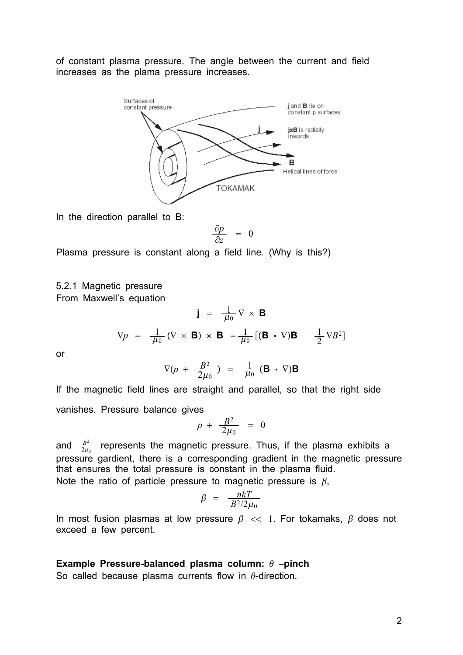of constant plasma pressure. The angle between the current and field increases as the plama pressure increases.



In the direction parallel to B:

$$
\frac{\partial p}{\partial z} = 0
$$

Plasma pressure is constant along a field line. (Why is this?)

#### 5.2.1 Magnetic pressure From Maxwell's equation

$$
\mathbf{j} = \frac{1}{\mu_0} \nabla \times \mathbf{B}
$$

$$
\nabla p = \frac{1}{\mu_0} (\nabla \times \mathbf{B}) \times \mathbf{B} = \frac{1}{\mu_0} [(\mathbf{B} \cdot \nabla) \mathbf{B} - \frac{1}{2} \nabla B^2]
$$

or

$$
\nabla (p + \frac{B^2}{2\mu_0}) = \frac{1}{\mu_0} (\mathbf{B} \cdot \nabla) \mathbf{B}
$$

If the magnetic field lines are straight and parallel, so that the right side vanishes. Pressure balance gives

$$
p + \frac{B^2}{2\mu_0} = 0
$$

and  $\frac{B^2}{2\mu_0}$  represents the magnetic pressure. Thus, if the plasma exhibits a pressure gardient, there is a corresponding gradient in the magnetic pressure that ensures the total pressure is constant in the plasma fluid. Note the ratio of particle pressure to magnetic pressure is  $\beta$ .

$$
\beta = \frac{nkT}{B^2/2\mu_0}
$$

In most fusion plasmas at low pressure  $\beta \ll 1$ . For tokamaks,  $\beta$  does not exceed a few percent.

#### Example Pressure-balanced plasma column:  $\theta$  -pinch

So called because plasma currents flow in  $\theta$ -direction.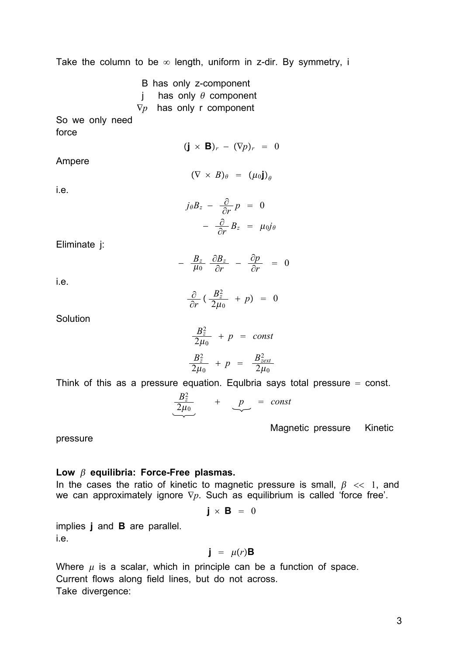Take the column to be  $\infty$  length, uniform in z-dir. By symmetry, i

B has only z-component j has only  $\theta$  component  $\nabla p$  has only r component

So we only need force

 $(\mathbf{i} \times \mathbf{B})_r - (\nabla p)_r = 0$ 

Ampere

$$
(\nabla \times B)_{\theta} = (\mu_0 \mathbf{j})_{\theta}
$$

i.e.

$$
j_{\theta}B_{z} - \frac{\partial}{\partial r}p = 0
$$
  
- 
$$
\frac{\partial}{\partial r}B_{z} = \mu_{0}j_{\theta}
$$

Eliminate j:

$$
- \frac{B_z}{\mu_0} \frac{\partial B_z}{\partial r} - \frac{\partial p}{\partial r} = 0
$$

i.e.

$$
\frac{\partial}{\partial r} \left( \frac{B_z^2}{2\mu_0} + p \right) = 0
$$

**Solution** 

$$
\frac{B_z^2}{2\mu_0} + p = const
$$
  

$$
\frac{B_z^2}{2\mu_0} + p = \frac{B_{zext}^2}{2\mu_0}
$$

Think of this as a pressure equation. Equibria says total pressure  $=$  const.

$$
\underbrace{\frac{B_z^2}{2\mu_0}} + \underbrace{p}_{\sim} = const
$$

Magnetic pressure Kinetic

pressure

### **Low equilibria: Force-Free plasmas.**

In the cases the ratio of kinetic to magnetic pressure is small,  $\beta \ll 1$ , and we can approximately ignore  $\nabla p$ . Such as equilibrium is called 'force free'.

$$
\mathbf{j} \times \mathbf{B} = 0
$$

implies **j** and **B** are parallel. i.e.

$$
\mathbf{j} = \mu(r)\mathbf{B}
$$

Where  $\mu$  is a scalar, which in principle can be a function of space. Current flows along field lines, but do not across. Take divergence: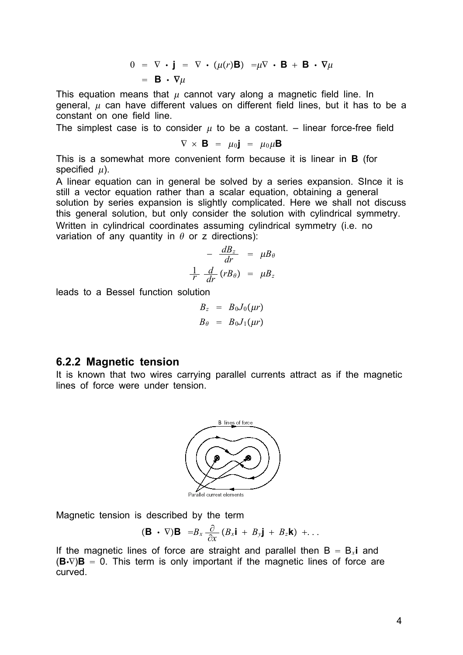$$
0 = \nabla \cdot \mathbf{j} = \nabla \cdot (\mu(r)\mathbf{B}) = \mu \nabla \cdot \mathbf{B} + \mathbf{B} \cdot \nabla \mu
$$
  
=  $\mathbf{B} \cdot \nabla \mu$ 

This equation means that  $\mu$  cannot vary along a magnetic field line. In general,  $\mu$  can have different values on different field lines, but it has to be a constant on one field line.

The simplest case is to consider  $\mu$  to be a costant. – linear force-free field

$$
\nabla \times \mathbf{B} = \mu_0 \mathbf{j} = \mu_0 \mu \mathbf{B}
$$

This is a somewhat more convenient form because it is linear in **B** (for specified  $\mu$ ).

A linear equation can in general be solved by a series expansion. SInce it is still a vector equation rather than a scalar equation, obtaining a general solution by series expansion is slightly complicated. Here we shall not discuss this general solution, but only consider the solution with cylindrical symmetry. Written in cylindrical coordinates assuming cylindrical symmetry (i.e. no variation of any quantity in  $\theta$  or z directions):

$$
-\frac{dB_z}{dr} = \mu B_\theta
$$
  

$$
\frac{1}{r} \frac{d}{dr} (r B_\theta) = \mu B_z
$$

leads to a Bessel function solution

$$
B_z = B_0 J_0(\mu r)
$$
  

$$
B_\theta = B_0 J_1(\mu r)
$$

#### **6.2.2 Magnetic tension**

It is known that two wires carrying parallel currents attract as if the magnetic lines of force were under tension.



Magnetic tension is described by the term

$$
(\mathbf{B}\ \cdot\ \nabla)\mathbf{B}\ =B_x\ \frac{\partial}{\partial x}\left(B_x\mathbf{i}\ +\ B_y\mathbf{j}\ +\ B_z\mathbf{k}\right)\ +\ \ldots
$$

If the magnetic lines of force are straight and parallel then  $B = B_x i$  and  $(\mathbf{B}\cdot\nabla)\mathbf{B} = 0$ . This term is only important if the magnetic lines of force are curved.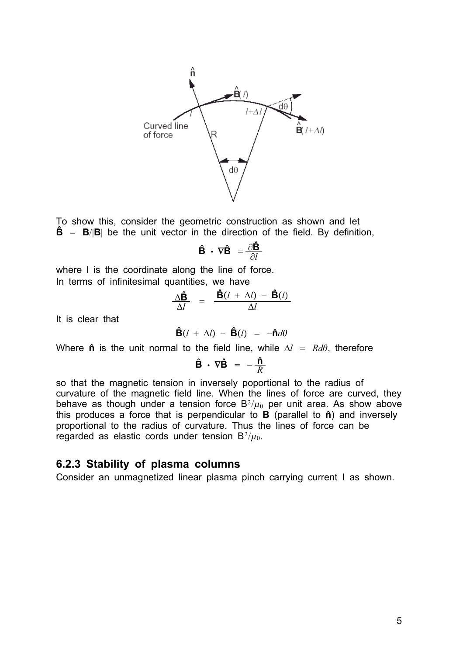

To show this, consider the geometric construction as shown and let  $\hat{\mathbf{B}}$  =  $\mathbf{B}/|\mathbf{B}|$  be the unit vector in the direction of the field. By definition,

$$
\hat{\mathbf{B}} \cdot \nabla \hat{\mathbf{B}} = \frac{\partial \hat{\mathbf{B}}}{\partial l}
$$

where I is the coordinate along the line of force. In terms of infinitesimal quantities, we have

$$
\frac{\Delta \hat{\mathbf{B}}}{\Delta l} = \frac{\hat{\mathbf{B}}(l + \Delta l) - \hat{\mathbf{B}}(l)}{\Delta l}
$$

It is clear that

$$
\hat{\mathbf{B}}(l + \Delta l) - \hat{\mathbf{B}}(l) = -\hat{\mathbf{n}}d\theta
$$

Where  $\hat{\bf{n}}$  is the unit normal to the field line, while  $\Delta l = R d\theta$ , therefore

$$
\hat{\mathbf{B}} \cdot \nabla \hat{\mathbf{B}} = -\frac{\hat{\mathbf{n}}}{R}
$$

so that the magnetic tension in inversely poportional to the radius of curvature of the magnetic field line. When the lines of force are curved, they behave as though under a tension force  $B^2/\mu_0$  per unit area. As show above this produces a force that is perpendicular to  $\overrightarrow{B}$  (parallel to  $\hat{n}$ ) and inversely proportional to the radius of curvature. Thus the lines of force can be regarded as elastic cords under tension  $B^2/\mu_0$ .

# **6.2.3 Stability of plasma columns**

Consider an unmagnetized linear plasma pinch carrying current I as shown.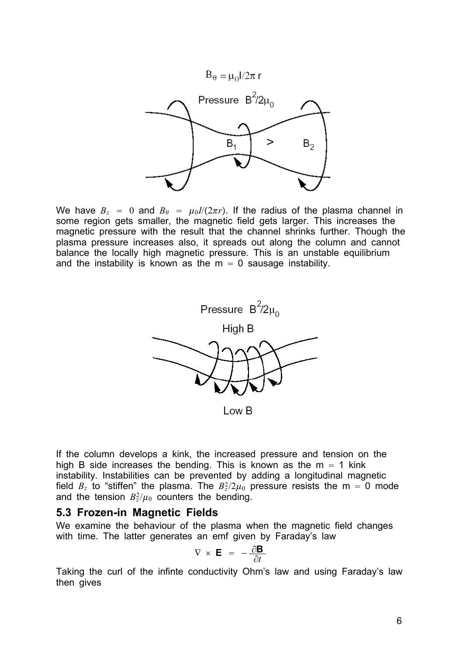

We have  $B_z = 0$  and  $B_\theta = \mu_0 I/(2\pi r)$ . If the radius of the plasma channel in some region gets smaller, the magnetic field gets larger. This increases the magnetic pressure with the result that the channel shrinks further. Though the plasma pressure increases also, it spreads out along the column and cannot balance the locally high magnetic pressure. This is an unstable equilibrium and the instability is known as the  $m = 0$  sausage instability.



Low B

If the column develops a kink, the increased pressure and tension on the high B side increases the bending. This is known as the  $m = 1$  kink instability. Instabilities can be prevented by adding a longitudinal magnetic field  $B_z$  to "stiffen" the plasma. The  $B_z^2/2\mu_0$  pressure resists the m = 0 mode and the tension  $B_z^2/\mu_0$  counters the bending.

# **5.3 Frozen-in Magnetic Fields**

We examine the behaviour of the plasma when the magnetic field changes with time. The latter generates an emf given by Faraday's law

$$
\nabla \times \mathbf{E} = -\frac{\partial \mathbf{B}}{\partial t}
$$

Taking the curl of the infinte conductivity Ohm's law and using Faraday's law then gives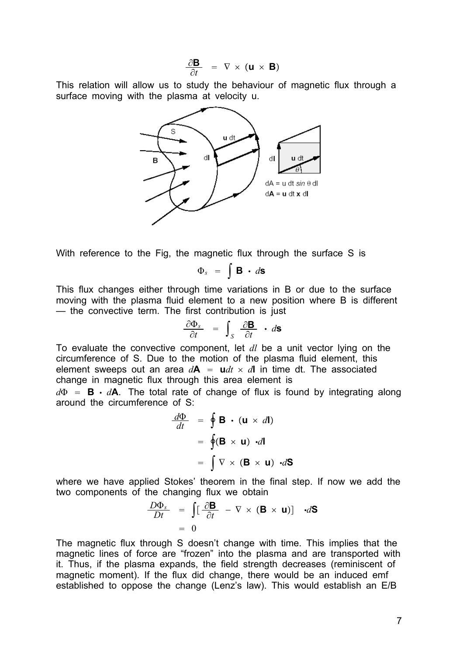$$
\frac{\partial \mathbf{B}}{\partial t} = \nabla \times (\mathbf{u} \times \mathbf{B})
$$

This relation will allow us to study the behaviour of magnetic flux through a surface moving with the plasma at velocity u.



With reference to the Fig, the magnetic flux through the surface S is

$$
\Phi_s = \int \mathbf{B} \cdot d\mathbf{s}
$$

This flux changes either through time variations in B or due to the surface moving with the plasma fluid element to a new position where B is different — the convective term. The first contribution is just

$$
\frac{\partial \Phi_s}{\partial t} = \int_S \frac{\partial \mathbf{B}}{\partial t} \cdot d\mathbf{S}
$$

To evaluate the convective component, let *dl* be a unit vector lying on the circumference of S. Due to the motion of the plasma fluid element, this element sweeps out an area  $d\mathbf{A} = \mathbf{u}dt \times d\mathbf{l}$  in time dt. The associated change in magnetic flux through this area element is

 $d\Phi = \mathbf{B} \cdot d\mathbf{A}$ . The total rate of change of flux is found by integrating along around the circumference of S:

$$
\frac{d\Phi}{dt} = \oint \mathbf{B} \cdot (\mathbf{u} \times d\mathbf{l})
$$

$$
= \oint (\mathbf{B} \times \mathbf{u}) \cdot d\mathbf{l}
$$

$$
= \int \nabla \times (\mathbf{B} \times \mathbf{u}) \cdot d\mathbf{S}
$$

where we have applied Stokes' theorem in the final step. If now we add the two components of the changing flux we obtain

$$
\frac{D\Phi_s}{Dt} = \int \left[\frac{\partial \mathbf{B}}{\partial t} - \nabla \times (\mathbf{B} \times \mathbf{u})\right] d\mathbf{S}
$$

$$
= 0
$$

The magnetic flux through S doesn't change with time. This implies that the magnetic lines of force are "frozen" into the plasma and are transported with it. Thus, if the plasma expands, the field strength decreases (reminiscent of magnetic moment). If the flux did change, there would be an induced emf established to oppose the change (Lenz's law). This would establish an  $E/B$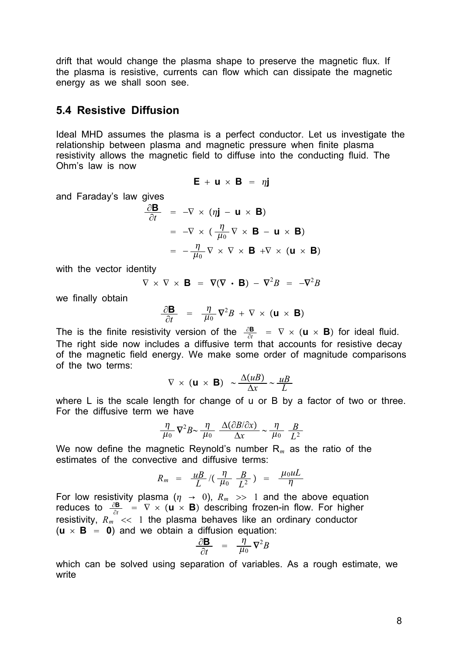drift that would change the plasma shape to preserve the magnetic flux. If the plasma is resistive, currents can flow which can dissipate the magnetic energy as we shall soon see.

## **5.4 Resistive Diffusion**

Ideal MHD assumes the plasma is a perfect conductor. Let us investigate the relationship between plasma and magnetic pressure when finite plasma resistivity allows the magnetic field to diffuse into the conducting fluid. The Ohm's law is now

$$
\mathbf{E} + \mathbf{u} \times \mathbf{B} = \eta \mathbf{j}
$$

and Faraday's law gives

$$
\frac{\partial \mathbf{B}}{\partial t} = -\nabla \times (\eta \mathbf{j} - \mathbf{u} \times \mathbf{B})
$$
  
=  $-\nabla \times (\frac{\eta}{\mu_0} \nabla \times \mathbf{B} - \mathbf{u} \times \mathbf{B})$   
=  $-\frac{\eta}{\mu_0} \nabla \times \nabla \times \mathbf{B} + \nabla \times (\mathbf{u} \times \mathbf{B})$ 

with the vector identity

$$
\nabla \times \nabla \times \mathbf{B} = \nabla (\nabla \cdot \mathbf{B}) - \nabla^2 B = -\nabla^2 B
$$

we finally obtain

$$
\frac{\partial \mathbf{B}}{\partial t} = \frac{\eta}{\mu_0} \nabla^2 B + \nabla \times (\mathbf{u} \times \mathbf{B})
$$

The is the finite resistivity version of the  $\frac{\partial \mathbf{B}}{\partial t} = \nabla \times (\mathbf{u} \times \mathbf{B})$  for ideal fluid. The right side now includes a diffusive term that accounts for resistive decay of the magnetic field energy. We make some order of magnitude comparisons of the two terms:

$$
\nabla \times (\mathbf{u} \times \mathbf{B}) \sim \frac{\Delta(uB)}{\Delta x} \sim \frac{uB}{L}
$$

where L is the scale length for change of u or B by a factor of two or three. For the diffusive term we have

$$
\frac{\eta}{\mu_0} \nabla^2 B \sim \frac{\eta}{\mu_0} \frac{\Delta(\partial B/\partial x)}{\Delta x} \sim \frac{\eta}{\mu_0} \frac{B}{L^2}
$$

We now define the magnetic Reynold's number R*<sup>m</sup>* as the ratio of the estimates of the convective and diffusive terms:

$$
R_m = \frac{uB}{L} / (\frac{\eta}{\mu_0} \frac{B}{L^2}) = \frac{\mu_0 uL}{\eta}
$$

For low resistivity plasma ( $\eta \rightarrow 0$ ),  $R_m \gg 1$  and the above equation reduces to  $\frac{\partial \mathbf{B}}{\partial t} = \nabla \times (\mathbf{u} \times \mathbf{B})$  describing frozen-in flow. For higher resistivity,  $R_m$ <sup> $\le$ </sup> << 1 the plasma behaves like an ordinary conductor  $(\mathbf{u} \times \mathbf{B}) = 0$  and we obtain a diffusion equation:

$$
\frac{\partial \mathbf{B}}{\partial t} = \frac{\eta}{\mu_0} \nabla^2 B
$$

which can be solved using separation of variables. As a rough estimate, we write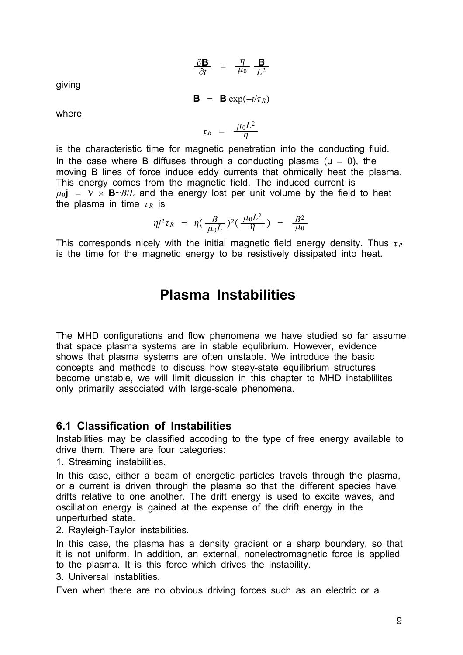$$
\frac{\partial \mathbf{B}}{\partial t} = \frac{\eta}{\mu_0} \frac{\mathbf{B}}{L^2}
$$

giving

 $\mathbf{B} = \mathbf{B} \exp(-t/\tau_R)$ 

where

$$
\tau_R = \frac{\mu_0 L^2}{\eta}
$$

is the characteristic time for magnetic penetration into the conducting fluid. In the case where B diffuses through a conducting plasma ( $u = 0$ ), the moving B lines of force induce eddy currents that ohmically heat the plasma. This energy comes from the magnetic field. The induced current is  $\mu_0$ **j** =  $\nabla \times$  **B**~*B*/*L* and the energy lost per unit volume by the field to heat the plasma in time  $\tau_R$  is

$$
\eta j^2 \tau_R = \eta \left( \frac{B}{\mu_0 L} \right)^2 \left( \frac{\mu_0 L^2}{\eta} \right) = \frac{B^2}{\mu_0}
$$

This corresponds nicely with the initial magnetic field energy density. Thus  $\tau_R$ is the time for the magnetic energy to be resistively dissipated into heat.

# **Plasma Instabilities**

The MHD configurations and flow phenomena we have studied so far assume that space plasma systems are in stable equlibrium. However, evidence shows that plasma systems are often unstable. We introduce the basic concepts and methods to discuss how steay-state equilibrium structures become unstable, we will limit dicussion in this chapter to MHD instablilites only primarily associated with large-scale phenomena.

# **6.1 Classification of Instabilities**

Instabilities may be classified accoding to the type of free energy available to drive them. There are four categories:

1. Streaming instabilities.

In this case, either a beam of energetic particles travels through the plasma, or a current is driven through the plasma so that the different species have drifts relative to one another. The drift energy is used to excite waves, and oscillation energy is gained at the expense of the drift energy in the unperturbed state.

#### 2. Rayleigh-Taylor instabilities.

In this case, the plasma has a density gradient or a sharp boundary, so that it is not uniform. In addition, an external, nonelectromagnetic force is applied to the plasma. It is this force which drives the instability.

3. Universal instablities.

Even when there are no obvious driving forces such as an electric or a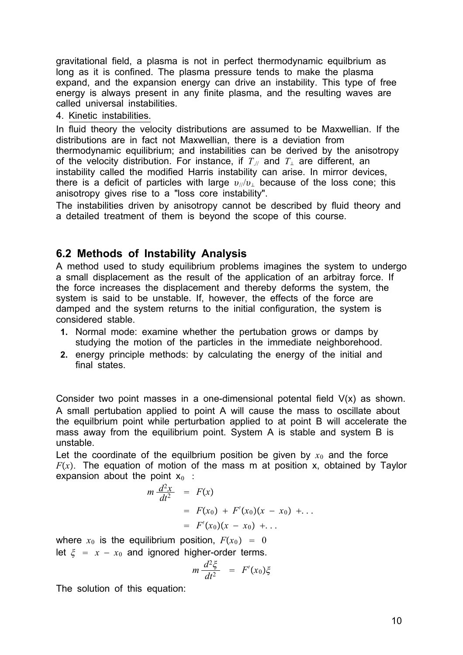gravitational field, a plasma is not in perfect thermodynamic equilbrium as long as it is confined. The plasma pressure tends to make the plasma expand, and the expansion energy can drive an instability. This type of free energy is always present in any finite plasma, and the resulting waves are called universal instabilities.

## 4. Kinetic instabilities.

In fluid theory the velocity distributions are assumed to be Maxwellian. If the distributions are in fact not Maxwellian, there is a deviation from thermodynamic equilibrium; and instabilities can be derived by the anisotropy of the velocity distribution. For instance, if  $T_{\text{N}}$  and  $T_{\text{L}}$  are different, an instability called the modified Harris instability can arise. In mirror devices, there is a deficit of particles with large  $v_y/v_y$  because of the loss cone; this anisotropy gives rise to a "loss core instability".

The instabilities driven by anisotropy cannot be described by fluid theory and a detailed treatment of them is beyond the scope of this course.

# **6.2 Methods of Instability Analysis**

A method used to study equilibrium problems imagines the system to undergo a small displacement as the result of the application of an arbitray force. If the force increases the displacement and thereby deforms the system, the system is said to be unstable. If, however, the effects of the force are damped and the system returns to the initial configuration, the system is considered stable.

- **1.** Normal mode: examine whether the pertubation grows or damps by studying the motion of the particles in the immediate neighborehood.
- **2.** energy principle methods: by calculating the energy of the initial and final states.

Consider two point masses in a one-dimensional potental field V(x) as shown. A small pertubation applied to point A will cause the mass to oscillate about the equilbrium point while perturbation applied to at point B will accelerate the mass away from the equilibrium point. System A is stable and system B is unstable.

Let the coordinate of the equilbrium position be given by  $x_0$  and the force  $F(x)$ . The equation of motion of the mass m at position x, obtained by Taylor expansion about the point  $x_0$  :

$$
m \frac{d^2x}{dt^2} = F(x)
$$
  
=  $F(x_0) + F'(x_0)(x - x_0) + ...$   
=  $F'(x_0)(x - x_0) + ...$ 

where  $x_0$  is the equilibrium position,  $F(x_0) = 0$ let  $\xi = x - x_0$  and ignored higher-order terms.

$$
m \frac{d^2 \xi}{dt^2} = F'(x_0) \xi
$$

The solution of this equation: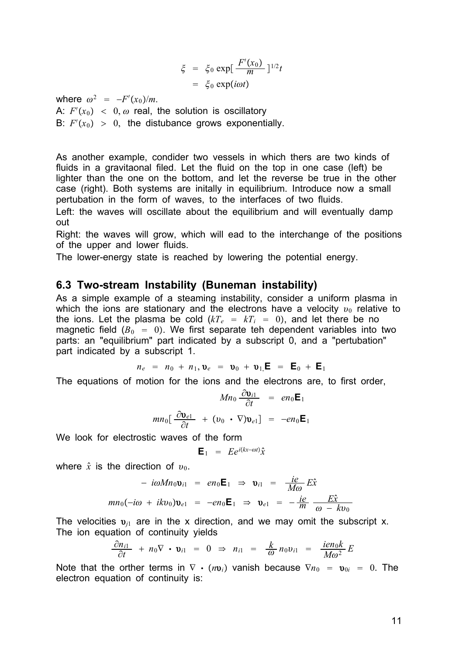$$
\xi = \xi_0 \exp[\frac{F'(x_0)}{m}]^{1/2}t
$$

$$
= \xi_0 \exp(i\omega t)
$$

where  $\omega^2 = -F'(x_0)/m$ .

A:  $F'(x_0)$  < 0,  $\omega$  real, the solution is oscillatory B:  $F'(x_0) > 0$ , the distubance grows exponentially.

As another example, condider two vessels in which thers are two kinds of fluids in a gravitaonal filed. Let the fluid on the top in one case (left) be lighter than the one on the bottom, and let the reverse be true in the other case (right). Both systems are initally in equilibrium. Introduce now a small pertubation in the form of waves, to the interfaces of two fluids.

Left: the waves will oscillate about the equilibrium and will eventually damp out

Right: the waves will grow, which will ead to the interchange of the positions of the upper and lower fluids.

The lower-energy state is reached by lowering the potential energy.

### **6.3 Two-stream Instability (Buneman instability)**

As a simple example of a steaming instability, consider a uniform plasma in which the ions are stationary and the electrons have a velocity  $v_0$  relative to the ions. Let the plasma be cold  $(kT_e = kT_i = 0)$ , and let there be no magnetic field  $(B_0 = 0)$ . We first separate teh dependent variables into two parts: an "equilibrium" part indicated by a subscript 0, and a "pertubation" part indicated by a subscript 1.

$$
n_e = n_0 + n_1, \mathbf{v}_e = \mathbf{v}_0 + \mathbf{v}_1, \mathbf{E} = \mathbf{E}_0 + \mathbf{E}_1
$$

The equations of motion for the ions and the electrons are, to first order,

$$
Mn_0 \frac{\partial \mathbf{v}_{i1}}{\partial t} = en_0 \mathbf{E}_1
$$

$$
mn_0 \left[ \frac{\partial \mathbf{v}_{e1}}{\partial t} + (\mathbf{v}_0 \cdot \nabla) \mathbf{v}_{e1} \right] = -en_0 \mathbf{E}_1
$$

We look for electrostic waves of the form

$$
\mathbf{E}_1 = E e^{i(kx - \omega t)} \hat{x}
$$

where  $\hat{x}$  is the direction of  $v_0$ .

$$
- i\omega Mn_0 \mathbf{v}_{i1} = en_0 \mathbf{E}_1 \Rightarrow \mathbf{v}_{i1} = \frac{ie}{M\omega} E\hat{x}
$$
  

$$
mn_0(-i\omega + ikv_0)\mathbf{v}_{e1} = -en_0 \mathbf{E}_1 \Rightarrow \mathbf{v}_{e1} = -\frac{ie}{m} \frac{E\hat{x}}{\omega - kv_0}
$$

The velocities  $v_{i1}$  are in the x direction, and we may omit the subscript x. The ion equation of continuity yields

$$
\frac{\partial n_{i1}}{\partial t} + n_0 \nabla \cdot \mathbf{v}_{i1} = 0 \Rightarrow n_{i1} = \frac{k}{\omega} n_0 v_{i1} = \frac{ien_0k}{M\omega^2} E
$$

Note that the orther terms in  $\nabla \cdot (n v_i)$  vanish because  $\nabla n_0 = v_{0i} = 0$ . The electron equation of continuity is: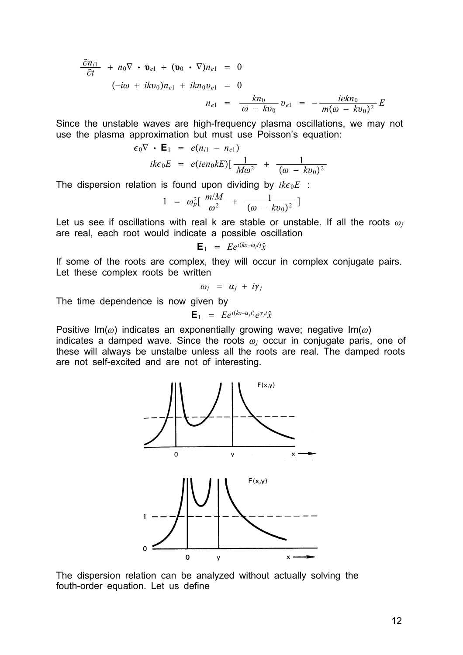$$
\frac{\partial n_{i1}}{\partial t} + n_0 \nabla \cdot \mathbf{v}_{e1} + (\mathbf{v}_0 \cdot \nabla)n_{e1} = 0
$$
  
\n
$$
(-i\omega + ik\nu_0)n_{e1} + ikn_0\nu_{e1} = 0
$$
  
\n
$$
n_{e1} = \frac{kn_0}{\omega - kv_0} \nu_{e1} = -\frac{iekn_0}{m(\omega - kv_0)^2}E
$$

Since the unstable waves are high-frequency plasma oscillations, we may not use the plasma approximation but must use Poisson's equation:

$$
\epsilon_0 \nabla \cdot \mathbf{E}_1 = e(n_{i1} - n_{e1})
$$
  
 
$$
ik\epsilon_0 E = e(ien_0kE) \left[ \frac{1}{M\omega^2} + \frac{1}{(\omega - kv_0)^2} \right]
$$

The dispersion relation is found upon dividing by  $ik\epsilon_0 E$  :

$$
1 = \omega_p^2 \left[ \frac{m/M}{\omega^2} + \frac{1}{(\omega - kv_0)^2} \right]
$$

Let us see if oscillations with real k are stable or unstable. If all the roots  $\omega_j$ are real, each root would indicate a possible oscillation

$$
\mathbf{E}_1 = E e^{i(kx-\omega_j t)} \hat{\mathbf{x}}
$$

If some of the roots are complex, they will occur in complex conjugate pairs. Let these complex roots be written

$$
\omega_j = \alpha_j + i\gamma_j
$$

The time dependence is now given by

$$
\mathbf{E}_1 = E e^{i(kx - \alpha_j t)} e^{\gamma_j t} \hat{\mathbf{x}}
$$

Positive Im( $\omega$ ) indicates an exponentially growing wave; negative Im( $\omega$ ) indicates a damped wave. Since the roots  $\omega_i$  occur in conjugate paris, one of these will always be unstalbe unless all the roots are real. The damped roots are not self-excited and are not of interesting.



The dispersion relation can be analyzed without actually solving the fouth-order equation. Let us define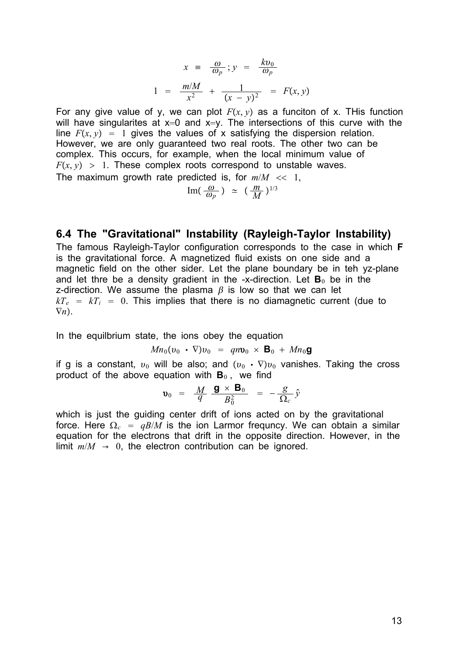$$
x = \frac{\omega}{\omega_p}; y = \frac{kv_0}{\omega_p}
$$
  

$$
1 = \frac{m/M}{x^2} + \frac{1}{(x - y)^2} = F(x, y)
$$

For any give value of y, we can plot  $F(x, y)$  as a funciton of x. This function will have singularites at  $x=0$  and  $x=y$ . The intersections of this curve with the line  $F(x, y) = 1$  gives the values of x satisfying the dispersion relation. However, we are only guaranteed two real roots. The other two can be complex. This occurs, for example, when the local minimum value of  $F(x, y) > 1$ . These complex roots correspond to unstable waves.

The maximum growth rate predicted is, for  $m/M \ll 1$ ,

$$
\text{Im}(\frac{\omega}{\omega_p}) \simeq (\frac{m}{M})^{1/3}
$$

# **6.4 The "Gravitational" Instability (Rayleigh-Taylor Instability)**

The famous Rayleigh-Taylor configuration corresponds to the case in which **F** is the gravitational force. A magnetized fluid exists on one side and a magnetic field on the other sider. Let the plane boundary be in teh yz-plane and let thre be a density gradient in the -x-direction. Let  $\mathbf{B}_0$  be in the z-direction. We assume the plasma  $\beta$  is low so that we can let  $kT_e = kT_i = 0$ . This implies that there is no diamagnetic current (due to  $\nabla n$ .

In the equilbrium state, the ions obey the equation

$$
Mn_0(v_0 \cdot \nabla)v_0 = qn\mathbf{v}_0 \times \mathbf{B}_0 + Mn_0\mathbf{g}
$$

if g is a constant,  $v_0$  will be also; and  $(v_0 \cdot \nabla) v_0$  vanishes. Taking the cross product of the above equation with  $B_0$ , we find

$$
\mathbf{v}_0 = \frac{M}{q} \frac{\mathbf{g} \times \mathbf{B}_0}{B_0^2} = -\frac{g}{\Omega_c} \hat{y}
$$

which is just the guiding center drift of ions acted on by the gravitational force. Here  $\Omega_c = gB/M$  is the ion Larmor frequncy. We can obtain a similar equation for the electrons that drift in the opposite direction. However, in the limit  $m/M \rightarrow 0$ , the electron contribution can be ignored.